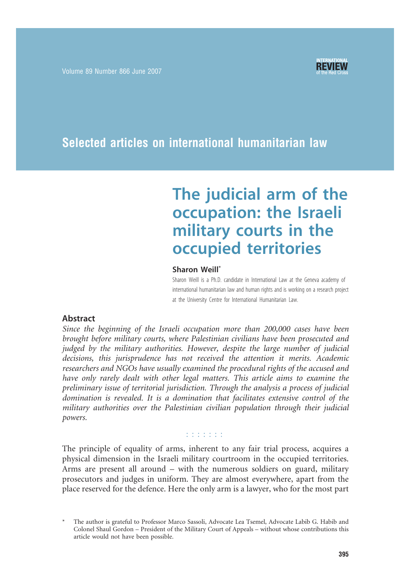Volume 89 Number 866 June 2007



# Selected articles on international humanitarian law

# The judicial arm of the occupation: the Israeli military courts in the occupied territories

#### Sharon Weill\*

Sharon Weill is a Ph.D. candidate in International Law at the Geneva academy of international humanitarian law and human rights and is working on a research project at the University Centre for International Humanitarian Law.

#### Abstract

Since the beginning of the Israeli occupation more than 200,000 cases have been brought before military courts, where Palestinian civilians have been prosecuted and judged by the military authorities. However, despite the large number of judicial decisions, this jurisprudence has not received the attention it merits. Academic researchers and NGOs have usually examined the procedural rights of the accused and have only rarely dealt with other legal matters. This article aims to examine the preliminary issue of territorial jurisdiction. Through the analysis a process of judicial domination is revealed. It is a domination that facilitates extensive control of the military authorities over the Palestinian civilian population through their judicial powers.

#### **Editoria**

The principle of equality of arms, inherent to any fair trial process, acquires a physical dimension in the Israeli military courtroom in the occupied territories. Arms are present all around – with the numerous soldiers on guard, military prosecutors and judges in uniform. They are almost everywhere, apart from the place reserved for the defence. Here the only arm is a lawyer, who for the most part

<sup>\*</sup> The author is grateful to Professor Marco Sassoli, Advocate Lea Tsemel, Advocate Labib G. Habib and Colonel Shaul Gordon – President of the Military Court of Appeals – without whose contributions this article would not have been possible.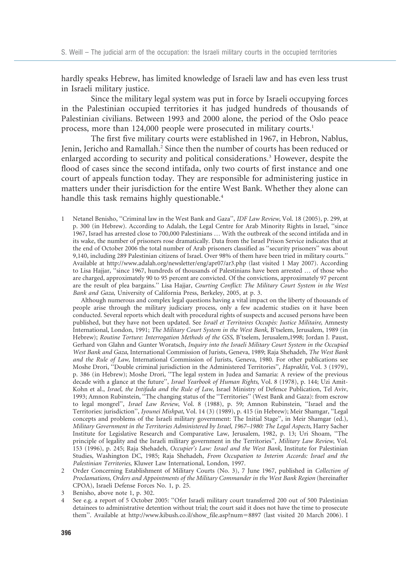hardly speaks Hebrew, has limited knowledge of Israeli law and has even less trust in Israeli military justice.

Since the military legal system was put in force by Israeli occupying forces in the Palestinian occupied territories it has judged hundreds of thousands of Palestinian civilians. Between 1993 and 2000 alone, the period of the Oslo peace process, more than 124,000 people were prosecuted in military courts.<sup>1</sup>

The first five military courts were established in 1967, in Hebron, Nablus, Jenin, Jericho and Ramallah.<sup>2</sup> Since then the number of courts has been reduced or enlarged according to security and political considerations.<sup>3</sup> However, despite the flood of cases since the second intifada, only two courts of first instance and one court of appeals function today. They are responsible for administering justice in matters under their jurisdiction for the entire West Bank. Whether they alone can handle this task remains highly questionable.<sup>4</sup>

1 Netanel Benisho, ''Criminal law in the West Bank and Gaza'', IDF Law Review, Vol. 18 (2005), p. 299, at p. 300 (in Hebrew). According to Adalah, the Legal Centre for Arab Minority Rights in Israel, ''since 1967, Israel has arrested close to 700,000 Palestinians … With the outbreak of the second intifada and in its wake, the number of prisoners rose dramatically. Data from the Israel Prison Service indicates that at the end of October 2006 the total number of Arab prisoners classified as ''security prisoners'' was about 9,140, including 289 Palestinian citizens of Israel. Over 98% of them have been tried in military courts.'' Available at http://www.adalah.org/newsletter/eng/apr07/ar3.php (last visited 1 May 2007). According to Lisa Hajjar, ''since 1967, hundreds of thousands of Palestinians have been arrested … of those who are charged, approximately 90 to 95 percent are convicted. Of the convictions, approximately 97 percent are the result of plea bargains.'' Lisa Hajjar, Courting Conflict: The Military Court System in the West Bank and Gaza, University of California Press, Berkeley, 2005, at p. 3.

Although numerous and complex legal questions having a vital impact on the liberty of thousands of people arise through the military judiciary process, only a few academic studies on it have been conducted. Several reports which dealt with procedural rights of suspects and accused persons have been published, but they have not been updated. See Israël et Territoires Occupés: Justice Militaire, Amnesty International, London, 1991; The Military Court System in the West Bank, B'tselem, Jerusalem, 1989 (in Hebrew); Routine Torture: Interrogation Methods of the GSS, B'tselem, Jerusalem,1998; Jordan J. Paust, Gerhard von Glahn and Gunter Woratsch, Inquiry into the Israeli Military Court System in the Occupied West Bank and Gaza, International Commission of Jurists, Geneva, 1989; Raja Shehadeh, The West Bank and the Rule of Law, International Commission of Jurists, Geneva, 1980. For other publications see Moshe Drori, ''Double criminal jurisdiction in the Administered Territories'', Hapraklit, Vol. 3 (1979), p. 386 (in Hebrew); Moshe Drori, ''The legal system in Judea and Samaria: A review of the previous decade with a glance at the future", Israel Yearbook of Human Rights, Vol. 8 (1978), p. 144; Uzi Amit-Kohn et al., Israel, the Intifada and the Rule of Law, Israel Ministry of Defence Publication, Tel Aviv, 1993; Amnon Rubinstein, ''The changing status of the ''Territories'' (West Bank and Gaza): from escrow to legal mongrel'', Israel Law Review, Vol. 8 (1988), p. 59; Amnon Rubinstein, ''Israel and the Territories: jurisdiction'', Iyounei Mishpat, Vol. 14 (3) (1989), p. 415 (in Hebrew); Meir Shamgar, ''Legal concepts and problems of the Israeli military government: The Initial Stage'', in Meir Shamgar (ed.), Military Government in the Territories Administered by Israel, 1967–1980: The Legal Aspects, Harry Sacher Institute for Legislative Research and Comparative Law, Jerusalem, 1982, p. 13; Uri Shoam, ''The principle of legality and the Israeli military government in the Territories", Military Law Review, Vol. 153 (1996), p. 245; Raja Shehadeh, Occupier's Law: Israel and the West Bank, Institute for Palestinian Studies, Washington DC, 1985; Raja Shehadeh, From Occupation to Interim Accords: Israel and the Palestinian Territories, Kluwer Law International, London, 1997.

- 2 Order Concerning Establishment of Military Courts (No. 3), 7 June 1967, published in Collection of Proclamations, Orders and Appointments of the Military Commander in the West Bank Region (hereinafter CPOA), Israeli Defense Forces No. 1, p. 25.
- 3 Benisho, above note 1, p. 302.
- 4 See e.g. a report of 5 October 2005: ''Ofer Israeli military court transferred 200 out of 500 Palestinian detainees to administrative detention without trial; the court said it does not have the time to prosecute them". Available at http://www.kibush.co.il/show\_file.asp?num=8897 (last visited 20 March 2006). I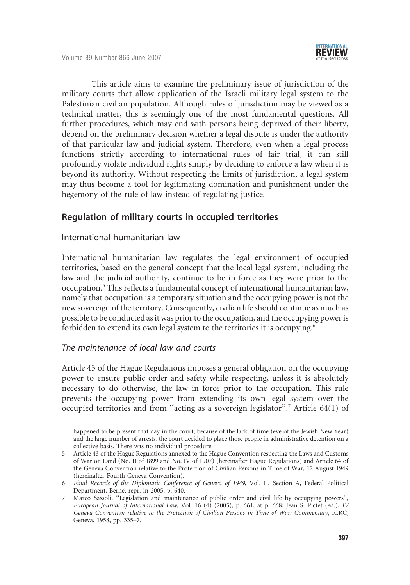

This article aims to examine the preliminary issue of jurisdiction of the military courts that allow application of the Israeli military legal system to the Palestinian civilian population. Although rules of jurisdiction may be viewed as a technical matter, this is seemingly one of the most fundamental questions. All further procedures, which may end with persons being deprived of their liberty, depend on the preliminary decision whether a legal dispute is under the authority of that particular law and judicial system. Therefore, even when a legal process functions strictly according to international rules of fair trial, it can still profoundly violate individual rights simply by deciding to enforce a law when it is beyond its authority. Without respecting the limits of jurisdiction, a legal system may thus become a tool for legitimating domination and punishment under the hegemony of the rule of law instead of regulating justice.

# Regulation of military courts in occupied territories

#### International humanitarian law

International humanitarian law regulates the legal environment of occupied territories, based on the general concept that the local legal system, including the law and the judicial authority, continue to be in force as they were prior to the occupation.5 This reflects a fundamental concept of international humanitarian law, namely that occupation is a temporary situation and the occupying power is not the new sovereign of the territory. Consequently, civilian life should continue as much as possible to be conducted as it was prior to the occupation, and the occupying power is forbidden to extend its own legal system to the territories it is occupying.<sup>6</sup>

# The maintenance of local law and courts

Article 43 of the Hague Regulations imposes a general obligation on the occupying power to ensure public order and safety while respecting, unless it is absolutely necessary to do otherwise, the law in force prior to the occupation. This rule prevents the occupying power from extending its own legal system over the occupied territories and from ''acting as a sovereign legislator''.7 Article 64(1) of

happened to be present that day in the court; because of the lack of time (eve of the Jewish New Year) and the large number of arrests, the court decided to place those people in administrative detention on a collective basis. There was no individual procedure.

5 Article 43 of the Hague Regulations annexed to the Hague Convention respecting the Laws and Customs of War on Land (No. II of 1899 and No. IV of 1907) (hereinafter Hague Regulations) and Article 64 of the Geneva Convention relative to the Protection of Civilian Persons in Time of War, 12 August 1949 (hereinafter Fourth Geneva Convention).

<sup>6</sup> Final Records of the Diplomatic Conference of Geneva of 1949, Vol. II, Section A, Federal Political Department, Berne, repr. in 2005, p. 640.

<sup>7</sup> Marco Sassoli, ''Legislation and maintenance of public order and civil life by occupying powers'', European Journal of International Law, Vol. 16 (4) (2005), p. 661, at p. 668; Jean S. Pictet (ed.), IV Geneva Convention relative to the Protection of Civilian Persons in Time of War: Commentary, ICRC, Geneva, 1958, pp. 335–7.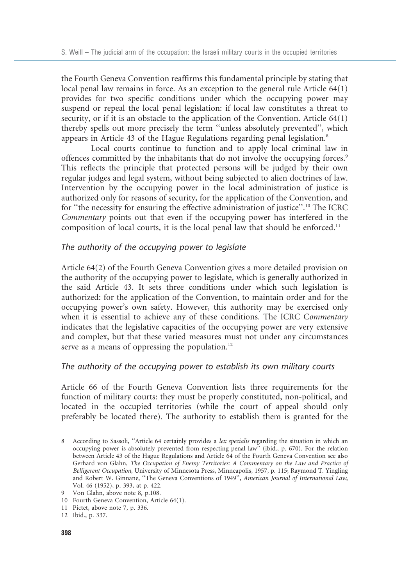the Fourth Geneva Convention reaffirms this fundamental principle by stating that local penal law remains in force. As an exception to the general rule Article 64(1) provides for two specific conditions under which the occupying power may suspend or repeal the local penal legislation: if local law constitutes a threat to security, or if it is an obstacle to the application of the Convention. Article 64(1) thereby spells out more precisely the term ''unless absolutely prevented'', which appears in Article 43 of the Hague Regulations regarding penal legislation.<sup>8</sup>

Local courts continue to function and to apply local criminal law in offences committed by the inhabitants that do not involve the occupying forces.<sup>9</sup> This reflects the principle that protected persons will be judged by their own regular judges and legal system, without being subjected to alien doctrines of law. Intervention by the occupying power in the local administration of justice is authorized only for reasons of security, for the application of the Convention, and for ''the necessity for ensuring the effective administration of justice''.10 The ICRC Commentary points out that even if the occupying power has interfered in the composition of local courts, it is the local penal law that should be enforced.<sup>11</sup>

# The authority of the occupying power to legislate

Article 64(2) of the Fourth Geneva Convention gives a more detailed provision on the authority of the occupying power to legislate, which is generally authorized in the said Article 43. It sets three conditions under which such legislation is authorized: for the application of the Convention, to maintain order and for the occupying power's own safety. However, this authority may be exercised only when it is essential to achieve any of these conditions. The ICRC Commentary indicates that the legislative capacities of the occupying power are very extensive and complex, but that these varied measures must not under any circumstances serve as a means of oppressing the population.<sup>12</sup>

#### The authority of the occupying power to establish its own military courts

Article 66 of the Fourth Geneva Convention lists three requirements for the function of military courts: they must be properly constituted, non-political, and located in the occupied territories (while the court of appeal should only preferably be located there). The authority to establish them is granted for the

<sup>8</sup> According to Sassoli, ''Article 64 certainly provides a lex specialis regarding the situation in which an occupying power is absolutely prevented from respecting penal law'' (ibid., p. 670). For the relation between Article 43 of the Hague Regulations and Article 64 of the Fourth Geneva Convention see also Gerhard von Glahn, The Occupation of Enemy Territories: A Commentary on the Law and Practice of Belligerent Occupation, University of Minnesota Press, Minneapolis, 1957, p. 115; Raymond T. Yingling and Robert W. Ginnane, ''The Geneva Conventions of 1949'', American Journal of International Law, Vol. 46 (1952), p. 393, at p. 422.

<sup>9</sup> Von Glahn, above note 8, p.108.

<sup>10</sup> Fourth Geneva Convention, Article 64(1).

<sup>11</sup> Pictet, above note 7, p. 336.

<sup>12</sup> Ibid., p. 337.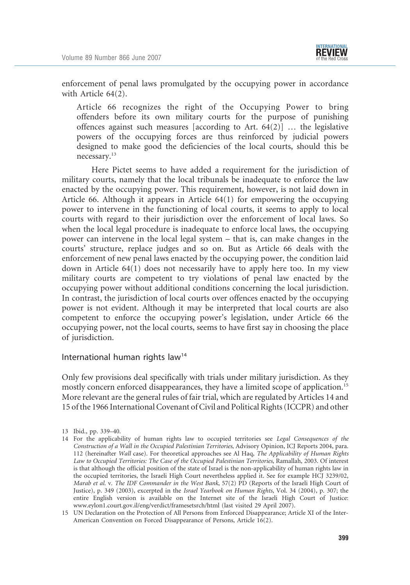

enforcement of penal laws promulgated by the occupying power in accordance with Article 64(2).

Article 66 recognizes the right of the Occupying Power to bring offenders before its own military courts for the purpose of punishing offences against such measures [according to Art. 64(2)] … the legislative powers of the occupying forces are thus reinforced by judicial powers designed to make good the deficiencies of the local courts, should this be necessary.13

Here Pictet seems to have added a requirement for the jurisdiction of military courts, namely that the local tribunals be inadequate to enforce the law enacted by the occupying power. This requirement, however, is not laid down in Article 66. Although it appears in Article 64(1) for empowering the occupying power to intervene in the functioning of local courts, it seems to apply to local courts with regard to their jurisdiction over the enforcement of local laws. So when the local legal procedure is inadequate to enforce local laws, the occupying power can intervene in the local legal system – that is, can make changes in the courts' structure, replace judges and so on. But as Article 66 deals with the enforcement of new penal laws enacted by the occupying power, the condition laid down in Article 64(1) does not necessarily have to apply here too. In my view military courts are competent to try violations of penal law enacted by the occupying power without additional conditions concerning the local jurisdiction. In contrast, the jurisdiction of local courts over offences enacted by the occupying power is not evident. Although it may be interpreted that local courts are also competent to enforce the occupying power's legislation, under Article 66 the occupying power, not the local courts, seems to have first say in choosing the place of jurisdiction.

# International human rights law14

Only few provisions deal specifically with trials under military jurisdiction. As they mostly concern enforced disappearances, they have a limited scope of application.<sup>15</sup> More relevant are the general rules of fair trial, which are regulated by Articles 14 and 15 of the 1966 International Covenant of Civil and Political Rights (ICCPR) and other

<sup>13</sup> Ibid., pp. 339–40.

<sup>14</sup> For the applicability of human rights law to occupied territories see Legal Consequences of the Construction of a Wall in the Occupied Palestinian Territories, Advisory Opinion, ICJ Reports 2004, para. 112 (hereinafter Wall case). For theoretical approaches see Al Haq, The Applicability of Human Rights Law to Occupied Territories: The Case of the Occupied Palestinian Territories, Ramallah, 2003. Of interest is that although the official position of the state of Israel is the non-applicability of human rights law in the occupied territories, the Israeli High Court nevertheless applied it. See for example HCJ 3239/02, Marab et al. v. The IDF Commander in the West Bank, 57(2) PD (Reports of the Israeli High Court of Justice), p. 349 (2003), excerpted in the Israel Yearbook on Human Rights, Vol. 34 (2004), p. 307; the entire English version is available on the Internet site of the Israeli High Court of Justice: www.eylon1.court.gov.il/eng/verdict/framesetsrch/html (last visited 29 April 2007).

<sup>15</sup> UN Declaration on the Protection of All Persons from Enforced Disappearance; Article XI of the Inter-American Convention on Forced Disappearance of Persons, Article 16(2).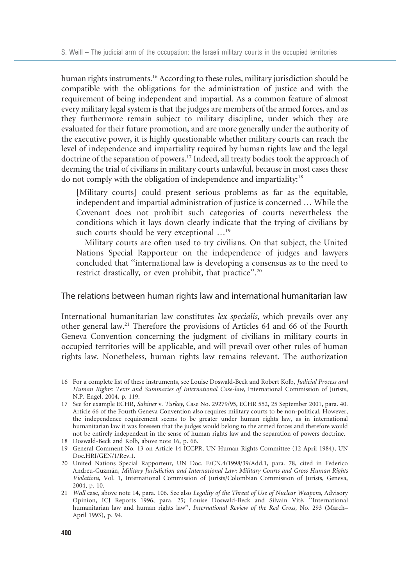human rights instruments.<sup>16</sup> According to these rules, military jurisdiction should be compatible with the obligations for the administration of justice and with the requirement of being independent and impartial. As a common feature of almost every military legal system is that the judges are members of the armed forces, and as they furthermore remain subject to military discipline, under which they are evaluated for their future promotion, and are more generally under the authority of the executive power, it is highly questionable whether military courts can reach the level of independence and impartiality required by human rights law and the legal doctrine of the separation of powers.<sup>17</sup> Indeed, all treaty bodies took the approach of deeming the trial of civilians in military courts unlawful, because in most cases these do not comply with the obligation of independence and impartiality:<sup>18</sup>

[Military courts] could present serious problems as far as the equitable, independent and impartial administration of justice is concerned … While the Covenant does not prohibit such categories of courts nevertheless the conditions which it lays down clearly indicate that the trying of civilians by such courts should be very exceptional ...<sup>19</sup>

Military courts are often used to try civilians. On that subject, the United Nations Special Rapporteur on the independence of judges and lawyers concluded that ''international law is developing a consensus as to the need to restrict drastically, or even prohibit, that practice".<sup>20</sup>

#### The relations between human rights law and international humanitarian law

International humanitarian law constitutes lex specialis, which prevails over any other general law.21 Therefore the provisions of Articles 64 and 66 of the Fourth Geneva Convention concerning the judgment of civilians in military courts in occupied territories will be applicable, and will prevail over other rules of human rights law. Nonetheless, human rights law remains relevant. The authorization

- 
- 19 General Comment No. 13 on Article 14 ICCPR, UN Human Rights Committee (12 April 1984), UN Doc.HRI/GEN/1/Rev.1.
- 20 United Nations Special Rapporteur, UN Doc. E/CN.4/1998/39/Add.1, para. 78, cited in Federico Andreu-Guzmán, Military Jurisdiction and International Law: Military Courts and Gross Human Rights Violations, Vol. 1, International Commission of Jurists/Colombian Commission of Jurists, Geneva, 2004, p. 10.
- 21 Wall case, above note 14, para. 106. See also Legality of the Threat of Use of Nuclear Weapons, Advisory Opinion, ICJ Reports 1996, para. 25; Louise Doswald-Beck and Silvain Vité, "International humanitarian law and human rights law'', International Review of the Red Cross, No. 293 (March– April 1993), p. 94.

<sup>16</sup> For a complete list of these instruments, see Louise Doswald-Beck and Robert Kolb, Judicial Process and Human Rights: Texts and Summaries of International Case-law, International Commission of Jurists, N.P. Engel, 2004, p. 119.

<sup>17</sup> See for example ECHR, Sahiner v. Turkey, Case No. 29279/95, ECHR 552, 25 September 2001, para. 40. Article 66 of the Fourth Geneva Convention also requires military courts to be non-political. However, the independence requirement seems to be greater under human rights law, as in international humanitarian law it was foreseen that the judges would belong to the armed forces and therefore would not be entirely independent in the sense of human rights law and the separation of powers doctrine. 18 Doswald-Beck and Kolb, above note 16, p. 66.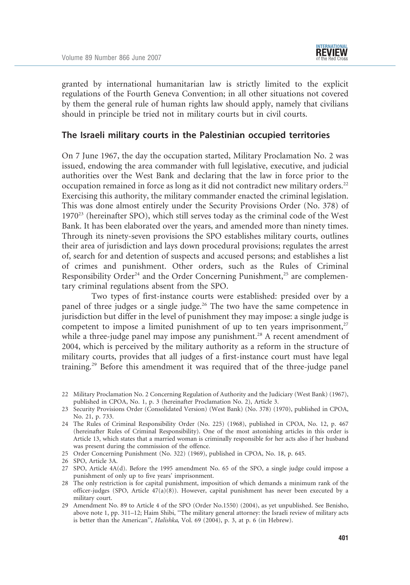

granted by international humanitarian law is strictly limited to the explicit regulations of the Fourth Geneva Convention; in all other situations not covered by them the general rule of human rights law should apply, namely that civilians should in principle be tried not in military courts but in civil courts.

#### The Israeli military courts in the Palestinian occupied territories

On 7 June 1967, the day the occupation started, Military Proclamation No. 2 was issued, endowing the area commander with full legislative, executive, and judicial authorities over the West Bank and declaring that the law in force prior to the occupation remained in force as long as it did not contradict new military orders.<sup>22</sup> Exercising this authority, the military commander enacted the criminal legislation. This was done almost entirely under the Security Provisions Order (No. 378) of 197023 (hereinafter SPO), which still serves today as the criminal code of the West Bank. It has been elaborated over the years, and amended more than ninety times. Through its ninety-seven provisions the SPO establishes military courts, outlines their area of jurisdiction and lays down procedural provisions; regulates the arrest of, search for and detention of suspects and accused persons; and establishes a list of crimes and punishment. Other orders, such as the Rules of Criminal Responsibility Order<sup>24</sup> and the Order Concerning Punishment,<sup>25</sup> are complementary criminal regulations absent from the SPO.

Two types of first-instance courts were established: presided over by a panel of three judges or a single judge.26 The two have the same competence in jurisdiction but differ in the level of punishment they may impose: a single judge is competent to impose a limited punishment of up to ten years imprisonment, $27$ while a three-judge panel may impose any punishment.<sup>28</sup> A recent amendment of 2004, which is perceived by the military authority as a reform in the structure of military courts, provides that all judges of a first-instance court must have legal training.29 Before this amendment it was required that of the three-judge panel

<sup>22</sup> Military Proclamation No. 2 Concerning Regulation of Authority and the Judiciary (West Bank) (1967), published in CPOA, No. 1, p. 3 (hereinafter Proclamation No. 2), Article 3.

<sup>23</sup> Security Provisions Order (Consolidated Version) (West Bank) (No. 378) (1970), published in CPOA, No. 21, p. 733.

<sup>24</sup> The Rules of Criminal Responsibility Order (No. 225) (1968), published in CPOA, No. 12, p. 467 (hereinafter Rules of Criminal Responsibility). One of the most astonishing articles in this order is Article 13, which states that a married woman is criminally responsible for her acts also if her husband was present during the commission of the offence.

<sup>25</sup> Order Concerning Punishment (No. 322) (1969), published in CPOA, No. 18, p. 645.

<sup>26</sup> SPO, Article 3A.

<sup>27</sup> SPO, Article 4A(d). Before the 1995 amendment No. 65 of the SPO, a single judge could impose a punishment of only up to five years' imprisonment.

<sup>28</sup> The only restriction is for capital punishment, imposition of which demands a minimum rank of the officer-judges (SPO, Article 47(a)(8)). However, capital punishment has never been executed by a military court.

<sup>29</sup> Amendment No. 89 to Article 4 of the SPO (Order No.1550) (2004), as yet unpublished. See Benisho, above note 1, pp. 311–12; Haim Shibi, ''The military general attorney: the Israeli review of military acts is better than the American'', Halishka, Vol. 69 (2004), p. 3, at p. 6 (in Hebrew).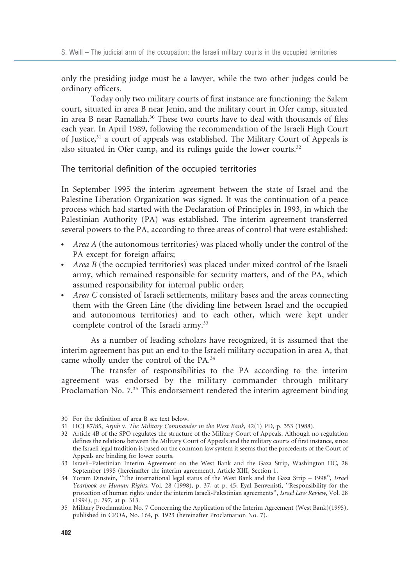only the presiding judge must be a lawyer, while the two other judges could be ordinary officers.

Today only two military courts of first instance are functioning: the Salem court, situated in area B near Jenin, and the military court in Ofer camp, situated in area B near Ramallah.<sup>30</sup> These two courts have to deal with thousands of files each year. In April 1989, following the recommendation of the Israeli High Court of Justice, $31$  a court of appeals was established. The Military Court of Appeals is also situated in Ofer camp, and its rulings guide the lower courts. $32$ 

#### The territorial definition of the occupied territories

In September 1995 the interim agreement between the state of Israel and the Palestine Liberation Organization was signed. It was the continuation of a peace process which had started with the Declaration of Principles in 1993, in which the Palestinian Authority (PA) was established. The interim agreement transferred several powers to the PA, according to three areas of control that were established:

- Area A (the autonomous territories) was placed wholly under the control of the PA except for foreign affairs;
- Area  $B$  (the occupied territories) was placed under mixed control of the Israeli army, which remained responsible for security matters, and of the PA, which assumed responsibility for internal public order;
- Area C consisted of Israeli settlements, military bases and the areas connecting them with the Green Line (the dividing line between Israel and the occupied and autonomous territories) and to each other, which were kept under complete control of the Israeli army.<sup>33</sup>

As a number of leading scholars have recognized, it is assumed that the interim agreement has put an end to the Israeli military occupation in area A, that came wholly under the control of the PA.34

The transfer of responsibilities to the PA according to the interim agreement was endorsed by the military commander through military Proclamation No. 7.<sup>35</sup> This endorsement rendered the interim agreement binding

<sup>30</sup> For the definition of area B see text below.

<sup>31</sup> HCJ 87/85, Arjub v. The Military Commander in the West Bank, 42(1) PD, p. 353 (1988).

<sup>32</sup> Article 4B of the SPO regulates the structure of the Military Court of Appeals. Although no regulation defines the relations between the Military Court of Appeals and the military courts of first instance, since the Israeli legal tradition is based on the common law system it seems that the precedents of the Court of Appeals are binding for lower courts.

<sup>33</sup> Israeli–Palestinian Interim Agreement on the West Bank and the Gaza Strip, Washington DC, 28 September 1995 (hereinafter the interim agreement), Article XIII, Section 1.

<sup>34</sup> Yoram Dinstein, ''The international legal status of the West Bank and the Gaza Strip – 1998'', Israel Yearbook on Human Rights, Vol. 28 (1998), p. 37, at p. 45; Eyal Benvenisti, "Responsibility for the protection of human rights under the interim Israeli-Palestinian agreements'', Israel Law Review, Vol. 28 (1994), p. 297, at p. 313.

<sup>35</sup> Military Proclamation No. 7 Concerning the Application of the Interim Agreement (West Bank)(1995), published in CPOA, No. 164, p. 1923 (hereinafter Proclamation No. 7).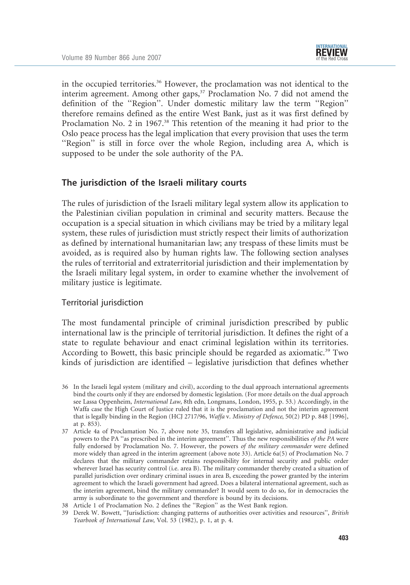

in the occupied territories.<sup>36</sup> However, the proclamation was not identical to the interim agreement. Among other gaps,<sup>37</sup> Proclamation No. 7 did not amend the definition of the ''Region''. Under domestic military law the term ''Region'' therefore remains defined as the entire West Bank, just as it was first defined by Proclamation No. 2 in 1967.<sup>38</sup> This retention of the meaning it had prior to the Oslo peace process has the legal implication that every provision that uses the term ''Region'' is still in force over the whole Region, including area A, which is supposed to be under the sole authority of the PA.

# The jurisdiction of the Israeli military courts

The rules of jurisdiction of the Israeli military legal system allow its application to the Palestinian civilian population in criminal and security matters. Because the occupation is a special situation in which civilians may be tried by a military legal system, these rules of jurisdiction must strictly respect their limits of authorization as defined by international humanitarian law; any trespass of these limits must be avoided, as is required also by human rights law. The following section analyses the rules of territorial and extraterritorial jurisdiction and their implementation by the Israeli military legal system, in order to examine whether the involvement of military justice is legitimate.

#### Territorial jurisdiction

The most fundamental principle of criminal jurisdiction prescribed by public international law is the principle of territorial jurisdiction. It defines the right of a state to regulate behaviour and enact criminal legislation within its territories. According to Bowett, this basic principle should be regarded as axiomatic.<sup>39</sup> Two kinds of jurisdiction are identified – legislative jurisdiction that defines whether

- 36 In the Israeli legal system (military and civil), according to the dual approach international agreements bind the courts only if they are endorsed by domestic legislation. (For more details on the dual approach see Lassa Oppenheim, *International Law*, 8th edn, Longmans, London, 1955, p. 53.) Accordingly, in the Waffa case the High Court of Justice ruled that it is the proclamation and not the interim agreement that is legally binding in the Region (HCJ 2717/96, Waffa v. Ministry of Defence, 50(2) PD p. 848 [1996], at p. 853).
- 37 Article 4a of Proclamation No. 7, above note 35, transfers all legislative, administrative and judicial powers to the PA ''as prescribed in the interim agreement''. Thus the new responsibilities of the PA were fully endorsed by Proclamation No. 7. However, the powers of the military commander were defined more widely than agreed in the interim agreement (above note 33). Article 6a(5) of Proclamation No. 7 declares that the military commander retains responsibility for internal security and public order wherever Israel has security control (i.e. area B). The military commander thereby created a situation of parallel jurisdiction over ordinary criminal issues in area B, exceeding the power granted by the interim agreement to which the Israeli government had agreed. Does a bilateral international agreement, such as the interim agreement, bind the military commander? It would seem to do so, for in democracies the army is subordinate to the government and therefore is bound by its decisions.
- 38 Article 1 of Proclamation No. 2 defines the ''Region'' as the West Bank region.
- 39 Derek W. Bowett, ''Jurisdiction: changing patterns of authorities over activities and resources'', British Yearbook of International Law, Vol. 53 (1982), p. 1, at p. 4.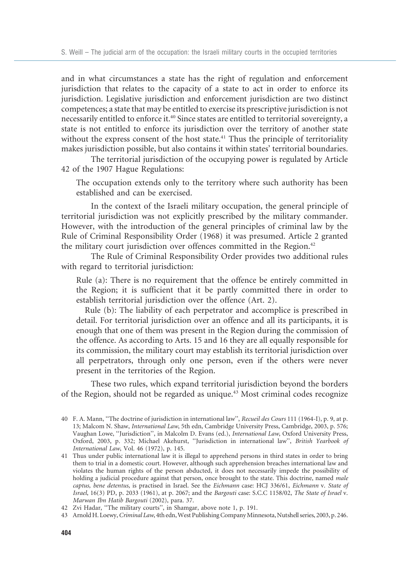and in what circumstances a state has the right of regulation and enforcement jurisdiction that relates to the capacity of a state to act in order to enforce its jurisdiction. Legislative jurisdiction and enforcement jurisdiction are two distinct competences; a state that may be entitled to exercise its prescriptive jurisdiction is not necessarily entitled to enforce it.<sup>40</sup> Since states are entitled to territorial sovereignty, a state is not entitled to enforce its jurisdiction over the territory of another state without the express consent of the host state.<sup>41</sup> Thus the principle of territoriality makes jurisdiction possible, but also contains it within states' territorial boundaries.

The territorial jurisdiction of the occupying power is regulated by Article 42 of the 1907 Hague Regulations:

The occupation extends only to the territory where such authority has been established and can be exercised.

In the context of the Israeli military occupation, the general principle of territorial jurisdiction was not explicitly prescribed by the military commander. However, with the introduction of the general principles of criminal law by the Rule of Criminal Responsibility Order (1968) it was presumed. Article 2 granted the military court jurisdiction over offences committed in the Region. $42$ 

The Rule of Criminal Responsibility Order provides two additional rules with regard to territorial jurisdiction:

Rule (a): There is no requirement that the offence be entirely committed in the Region; it is sufficient that it be partly committed there in order to establish territorial jurisdiction over the offence (Art. 2).

Rule (b): The liability of each perpetrator and accomplice is prescribed in detail. For territorial jurisdiction over an offence and all its participants, it is enough that one of them was present in the Region during the commission of the offence. As according to Arts. 15 and 16 they are all equally responsible for its commission, the military court may establish its territorial jurisdiction over all perpetrators, through only one person, even if the others were never present in the territories of the Region.

These two rules, which expand territorial jurisdiction beyond the borders of the Region, should not be regarded as unique.<sup>43</sup> Most criminal codes recognize

<sup>40</sup> F. A. Mann, ''The doctrine of jurisdiction in international law'', Recueil des Cours 111 (1964-I), p. 9, at p. 13; Malcom N. Shaw, International Law, 5th edn, Cambridge University Press, Cambridge, 2003, p. 576; Vaughan Lowe, ''Jurisdiction'', in Malcolm D. Evans (ed.), International Law, Oxford University Press, Oxford, 2003, p. 332; Michael Akehurst, ''Jurisdiction in international law'', British Yearbook of International Law, Vol. 46 (1972), p. 145.

<sup>41</sup> Thus under public international law it is illegal to apprehend persons in third states in order to bring them to trial in a domestic court. However, although such apprehension breaches international law and violates the human rights of the person abducted, it does not necessarily impede the possibility of holding a judicial procedure against that person, once brought to the state. This doctrine, named male captus, bene detentus, is practised in Israel. See the Eichmann case: HCJ 336/61, Eichmann v. State of Israel, 16(3) PD, p. 2033 (1961), at p. 2067; and the Bargouti case: S.C.C 1158/02, The State of Israel v. Marwan Ibn Hatib Bargouti (2002), para. 37.

<sup>42</sup> Zvi Hadar, ''The military courts'', in Shamgar, above note 1, p. 191.

<sup>43</sup> Arnold H. Loewy, Criminal Law, 4th edn, West Publishing Company Minnesota, Nutshell series, 2003, p. 246.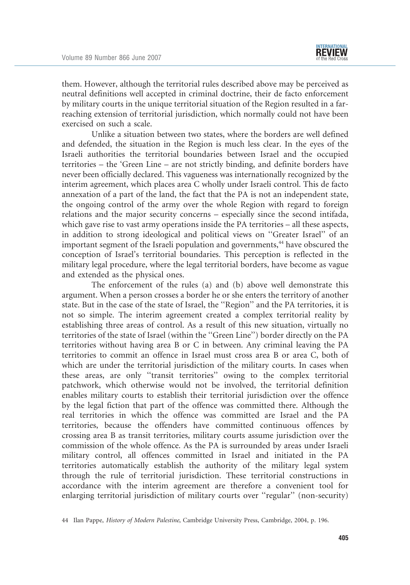

them. However, although the territorial rules described above may be perceived as neutral definitions well accepted in criminal doctrine, their de facto enforcement by military courts in the unique territorial situation of the Region resulted in a farreaching extension of territorial jurisdiction, which normally could not have been exercised on such a scale.

Unlike a situation between two states, where the borders are well defined and defended, the situation in the Region is much less clear. In the eyes of the Israeli authorities the territorial boundaries between Israel and the occupied territories – the 'Green Line – are not strictly binding, and definite borders have never been officially declared. This vagueness was internationally recognized by the interim agreement, which places area C wholly under Israeli control. This de facto annexation of a part of the land, the fact that the PA is not an independent state, the ongoing control of the army over the whole Region with regard to foreign relations and the major security concerns – especially since the second intifada, which gave rise to vast army operations inside the PA territories – all these aspects, in addition to strong ideological and political views on ''Greater Israel'' of an important segment of the Israeli population and governments,<sup>44</sup> have obscured the conception of Israel's territorial boundaries. This perception is reflected in the military legal procedure, where the legal territorial borders, have become as vague and extended as the physical ones.

The enforcement of the rules (a) and (b) above well demonstrate this argument. When a person crosses a border he or she enters the territory of another state. But in the case of the state of Israel, the ''Region'' and the PA territories, it is not so simple. The interim agreement created a complex territorial reality by establishing three areas of control. As a result of this new situation, virtually no territories of the state of Israel (within the ''Green Line'') border directly on the PA territories without having area B or C in between. Any criminal leaving the PA territories to commit an offence in Israel must cross area B or area C, both of which are under the territorial jurisdiction of the military courts. In cases when these areas, are only ''transit territories'' owing to the complex territorial patchwork, which otherwise would not be involved, the territorial definition enables military courts to establish their territorial jurisdiction over the offence by the legal fiction that part of the offence was committed there. Although the real territories in which the offence was committed are Israel and the PA territories, because the offenders have committed continuous offences by crossing area B as transit territories, military courts assume jurisdiction over the commission of the whole offence. As the PA is surrounded by areas under Israeli military control, all offences committed in Israel and initiated in the PA territories automatically establish the authority of the military legal system through the rule of territorial jurisdiction. These territorial constructions in accordance with the interim agreement are therefore a convenient tool for enlarging territorial jurisdiction of military courts over ''regular'' (non-security)

<sup>44</sup> Ilan Pappe, History of Modern Palestine, Cambridge University Press, Cambridge, 2004, p. 196.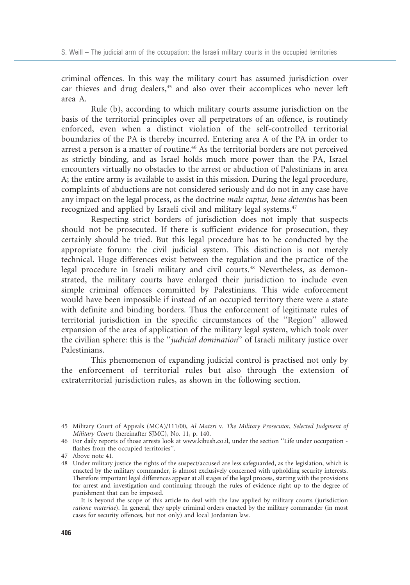criminal offences. In this way the military court has assumed jurisdiction over car thieves and drug dealers, $45$  and also over their accomplices who never left area A.

Rule (b), according to which military courts assume jurisdiction on the basis of the territorial principles over all perpetrators of an offence, is routinely enforced, even when a distinct violation of the self-controlled territorial boundaries of the PA is thereby incurred. Entering area A of the PA in order to arrest a person is a matter of routine.<sup>46</sup> As the territorial borders are not perceived as strictly binding, and as Israel holds much more power than the PA, Israel encounters virtually no obstacles to the arrest or abduction of Palestinians in area A; the entire army is available to assist in this mission. During the legal procedure, complaints of abductions are not considered seriously and do not in any case have any impact on the legal process, as the doctrine *male captus, bene detentus* has been recognized and applied by Israeli civil and military legal systems.<sup>47</sup>

Respecting strict borders of jurisdiction does not imply that suspects should not be prosecuted. If there is sufficient evidence for prosecution, they certainly should be tried. But this legal procedure has to be conducted by the appropriate forum: the civil judicial system. This distinction is not merely technical. Huge differences exist between the regulation and the practice of the legal procedure in Israeli military and civil courts.<sup>48</sup> Nevertheless, as demonstrated, the military courts have enlarged their jurisdiction to include even simple criminal offences committed by Palestinians. This wide enforcement would have been impossible if instead of an occupied territory there were a state with definite and binding borders. Thus the enforcement of legitimate rules of territorial jurisdiction in the specific circumstances of the ''Region'' allowed expansion of the area of application of the military legal system, which took over the civilian sphere: this is the ''judicial domination'' of Israeli military justice over Palestinians.

This phenomenon of expanding judicial control is practised not only by the enforcement of territorial rules but also through the extension of extraterritorial jurisdiction rules, as shown in the following section.

It is beyond the scope of this article to deal with the law applied by military courts (jurisdiction ratione materiae). In general, they apply criminal orders enacted by the military commander (in most cases for security offences, but not only) and local Jordanian law.

<sup>45</sup> Military Court of Appeals (MCA)/111/00, Al Matzri v. The Military Prosecutor, Selected Judgment of Military Courts (hereinafter SJMC), No. 11, p. 140.

<sup>46</sup> For daily reports of those arrests look at www.kibush.co.il, under the section ''Life under occupation flashes from the occupied territories''.

<sup>47</sup> Above note 41.

<sup>48</sup> Under military justice the rights of the suspect/accused are less safeguarded, as the legislation, which is enacted by the military commander, is almost exclusively concerned with upholding security interests. Therefore important legal differences appear at all stages of the legal process, starting with the provisions for arrest and investigation and continuing through the rules of evidence right up to the degree of punishment that can be imposed.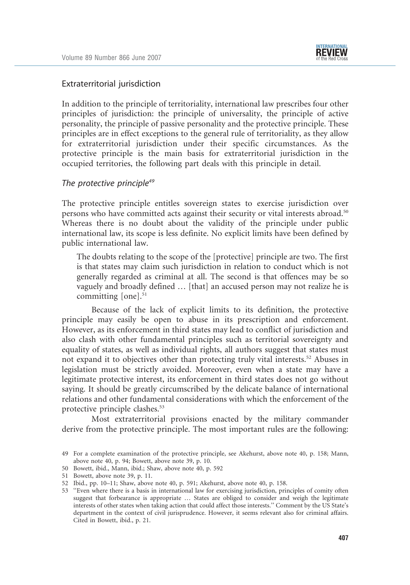

#### Extraterritorial jurisdiction

In addition to the principle of territoriality, international law prescribes four other principles of jurisdiction: the principle of universality, the principle of active personality, the principle of passive personality and the protective principle. These principles are in effect exceptions to the general rule of territoriality, as they allow for extraterritorial jurisdiction under their specific circumstances. As the protective principle is the main basis for extraterritorial jurisdiction in the occupied territories, the following part deals with this principle in detail.

#### The protective principle $49$

The protective principle entitles sovereign states to exercise jurisdiction over persons who have committed acts against their security or vital interests abroad.<sup>50</sup> Whereas there is no doubt about the validity of the principle under public international law, its scope is less definite. No explicit limits have been defined by public international law.

The doubts relating to the scope of the [protective] principle are two. The first is that states may claim such jurisdiction in relation to conduct which is not generally regarded as criminal at all. The second is that offences may be so vaguely and broadly defined … [that] an accused person may not realize he is committing  $[one].$ <sup>51</sup>

Because of the lack of explicit limits to its definition, the protective principle may easily be open to abuse in its prescription and enforcement. However, as its enforcement in third states may lead to conflict of jurisdiction and also clash with other fundamental principles such as territorial sovereignty and equality of states, as well as individual rights, all authors suggest that states must not expand it to objectives other than protecting truly vital interests.52 Abuses in legislation must be strictly avoided. Moreover, even when a state may have a legitimate protective interest, its enforcement in third states does not go without saying. It should be greatly circumscribed by the delicate balance of international relations and other fundamental considerations with which the enforcement of the protective principle clashes.<sup>53</sup>

Most extraterritorial provisions enacted by the military commander derive from the protective principle. The most important rules are the following:

50 Bowett, ibid., Mann, ibid.; Shaw, above note 40, p. 592

<sup>49</sup> For a complete examination of the protective principle, see Akehurst, above note 40, p. 158; Mann, above note 40, p. 94; Bowett, above note 39, p. 10.

<sup>51</sup> Bowett, above note 39, p. 11.

<sup>52</sup> Ibid., pp. 10–11; Shaw, above note 40, p. 591; Akehurst, above note 40, p. 158.

<sup>53 &#</sup>x27;'Even where there is a basis in international law for exercising jurisdiction, principles of comity often suggest that forbearance is appropriate … States are obliged to consider and weigh the legitimate interests of other states when taking action that could affect those interests.'' Comment by the US State's department in the context of civil jurisprudence. However, it seems relevant also for criminal affairs. Cited in Bowett, ibid., p. 21.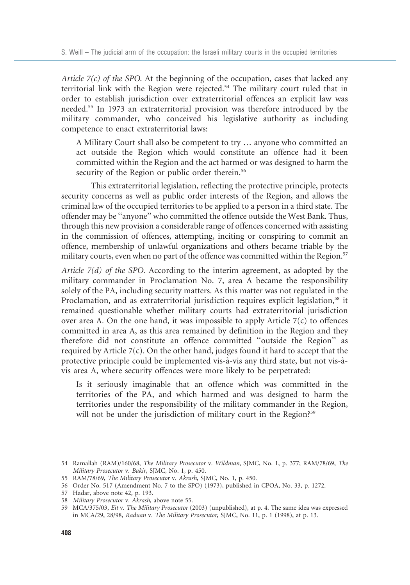Article  $7(c)$  of the SPO. At the beginning of the occupation, cases that lacked any territorial link with the Region were rejected.<sup>54</sup> The military court ruled that in order to establish jurisdiction over extraterritorial offences an explicit law was needed.55 In 1973 an extraterritorial provision was therefore introduced by the military commander, who conceived his legislative authority as including competence to enact extraterritorial laws:

A Military Court shall also be competent to try … anyone who committed an act outside the Region which would constitute an offence had it been committed within the Region and the act harmed or was designed to harm the security of the Region or public order therein.<sup>56</sup>

This extraterritorial legislation, reflecting the protective principle, protects security concerns as well as public order interests of the Region, and allows the criminal law of the occupied territories to be applied to a person in a third state. The offender may be ''anyone'' who committed the offence outside the West Bank. Thus, through this new provision a considerable range of offences concerned with assisting in the commission of offences, attempting, inciting or conspiring to commit an offence, membership of unlawful organizations and others became triable by the military courts, even when no part of the offence was committed within the Region.<sup>57</sup>

Article  $7(d)$  of the SPO. According to the interim agreement, as adopted by the military commander in Proclamation No. 7, area A became the responsibility solely of the PA, including security matters. As this matter was not regulated in the Proclamation, and as extraterritorial jurisdiction requires explicit legislation,<sup>58</sup> it remained questionable whether military courts had extraterritorial jurisdiction over area A. On the one hand, it was impossible to apply Article  $7(c)$  to offences committed in area A, as this area remained by definition in the Region and they therefore did not constitute an offence committed ''outside the Region'' as required by Article  $7(c)$ . On the other hand, judges found it hard to accept that the protective principle could be implemented vis-à-vis any third state, but not vis-àvis area A, where security offences were more likely to be perpetrated:

Is it seriously imaginable that an offence which was committed in the territories of the PA, and which harmed and was designed to harm the territories under the responsibility of the military commander in the Region, will not be under the jurisdiction of military court in the Region?<sup>59</sup>

<sup>54</sup> Ramallah (RAM)/160/68, The Military Prosecutor v. Wildman, SJMC, No. 1, p. 377; RAM/78/69, The Military Prosecutor v. Bakir, SJMC, No. 1, p. 450.

<sup>55</sup> RAM/78/69, The Military Prosecutor v. Akrash, SJMC, No. 1, p. 450.

<sup>56</sup> Order No. 517 (Amendment No. 7 to the SPO) (1973), published in CPOA, No. 33, p. 1272.

<sup>57</sup> Hadar, above note 42, p. 193.

<sup>58</sup> Military Prosecutor v. Akrash, above note 55.

<sup>59</sup> MCA/375/03, Eit v. The Military Prosecutor (2003) (unpublished), at p. 4. The same idea was expressed in MCA/29, 28/98, Raduan v. The Military Prosecutor, SJMC, No. 11, p. 1 (1998), at p. 13.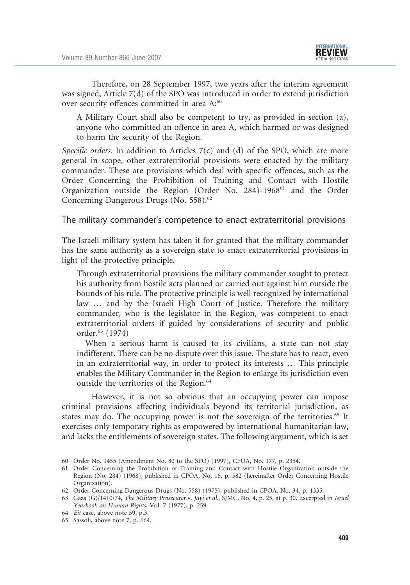

Therefore, on 28 September 1997, two years after the interim agreement was signed, Article 7(d) of the SPO was introduced in order to extend jurisdiction over security offences committed in area A:<sup>60</sup>

A Military Court shall also be competent to try, as provided in section (a), anyone who committed an offence in area A, which harmed or was designed to harm the security of the Region.

Specific orders. In addition to Articles  $7(c)$  and (d) of the SPO, which are more general in scope, other extraterritorial provisions were enacted by the military commander. These are provisions which deal with specific offences, such as the Order Concerning the Prohibition of Training and Contact with Hostile Organization outside the Region (Order No. 284)-1968<sup>61</sup> and the Order Concerning Dangerous Drugs (No. 558).<sup>62</sup>

The military commander's competence to enact extraterritorial provisions

The Israeli military system has taken it for granted that the military commander has the same authority as a sovereign state to enact extraterritorial provisions in light of the protective principle.

Through extraterritorial provisions the military commander sought to protect his authority from hostile acts planned or carried out against him outside the bounds of his rule. The protective principle is well recognized by international law … and by the Israeli High Court of Justice. Therefore the military commander, who is the legislator in the Region, was competent to enact extraterritorial orders if guided by considerations of security and public order.63 (1974)

When a serious harm is caused to its civilians, a state can not stay indifferent. There can be no dispute over this issue. The state has to react, even in an extraterritorial way, in order to protect its interests … This principle enables the Military Commander in the Region to enlarge its jurisdiction even outside the territories of the Region.<sup>64</sup>

However, it is not so obvious that an occupying power can impose criminal provisions affecting individuals beyond its territorial jurisdiction, as states may do. The occupying power is not the sovereign of the territories.<sup>65</sup> It exercises only temporary rights as empowered by international humanitarian law, and lacks the entitlements of sovereign states. The following argument, which is set

<sup>60</sup> Order No. 1455 (Amendment No. 80 to the SPO) (1997), CPOA, No. 177, p. 2354.

<sup>61</sup> Order Concerning the Prohibition of Training and Contact with Hostile Organization outside the Region (No. 284) (1968), published in CPOA, No. 16, p. 582 (hereinafter Order Concerning Hostile Organization).

<sup>62</sup> Order Concerning Dangerous Drugs (No. 558) (1975), published in CPOA, No. 34, p. 1335.

<sup>63</sup> Gaza (G)/1410/74, The Military Prosecutor v. Jayi et al., SJMC, No. 4, p. 25, at p. 30. Excerpted in Israel Yearbook on Human Rights, Vol. 7 (1977), p. 259.

<sup>64</sup> Eit case, above note 59, p.3.

<sup>65</sup> Sassoli, above note 7, p. 664.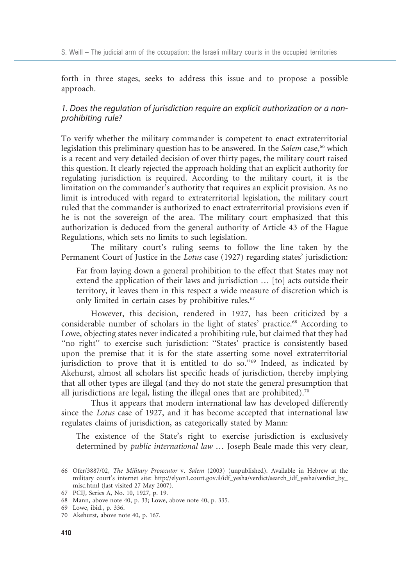forth in three stages, seeks to address this issue and to propose a possible approach.

# 1. Does the regulation of jurisdiction require an explicit authorization or a nonprohibiting rule?

To verify whether the military commander is competent to enact extraterritorial legislation this preliminary question has to be answered. In the *Salem* case,<sup>66</sup> which is a recent and very detailed decision of over thirty pages, the military court raised this question. It clearly rejected the approach holding that an explicit authority for regulating jurisdiction is required. According to the military court, it is the limitation on the commander's authority that requires an explicit provision. As no limit is introduced with regard to extraterritorial legislation, the military court ruled that the commander is authorized to enact extraterritorial provisions even if he is not the sovereign of the area. The military court emphasized that this authorization is deduced from the general authority of Article 43 of the Hague Regulations, which sets no limits to such legislation.

The military court's ruling seems to follow the line taken by the Permanent Court of Justice in the Lotus case (1927) regarding states' jurisdiction:

Far from laying down a general prohibition to the effect that States may not extend the application of their laws and jurisdiction … [to] acts outside their territory, it leaves them in this respect a wide measure of discretion which is only limited in certain cases by prohibitive rules.<sup>67</sup>

However, this decision, rendered in 1927, has been criticized by a considerable number of scholars in the light of states' practice.<sup>68</sup> According to Lowe, objecting states never indicated a prohibiting rule, but claimed that they had "no right" to exercise such jurisdiction: "States' practice is consistently based upon the premise that it is for the state asserting some novel extraterritorial jurisdiction to prove that it is entitled to do so.''69 Indeed, as indicated by Akehurst, almost all scholars list specific heads of jurisdiction, thereby implying that all other types are illegal (and they do not state the general presumption that all jurisdictions are legal, listing the illegal ones that are prohibited).70

Thus it appears that modern international law has developed differently since the Lotus case of 1927, and it has become accepted that international law regulates claims of jurisdiction, as categorically stated by Mann:

The existence of the State's right to exercise jurisdiction is exclusively determined by public international law … Joseph Beale made this very clear,

<sup>66</sup> Ofer/3887/02, The Military Prosecutor v. Salem (2003) (unpublished). Available in Hebrew at the military court's internet site: http://elyon1.court.gov.il/idf\_yesha/verdict/search\_idf\_yesha/verdict\_by\_ misc.html (last visited 27 May 2007).

<sup>67</sup> PCIJ, Series A, No. 10, 1927, p. 19.

<sup>68</sup> Mann, above note 40, p. 33; Lowe, above note 40, p. 335.

<sup>69</sup> Lowe, ibid., p. 336.

<sup>70</sup> Akehurst, above note 40, p. 167.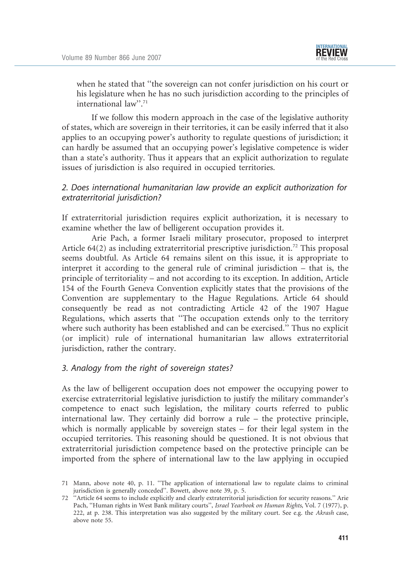

when he stated that ''the sovereign can not confer jurisdiction on his court or his legislature when he has no such jurisdiction according to the principles of international law''.71

If we follow this modern approach in the case of the legislative authority of states, which are sovereign in their territories, it can be easily inferred that it also applies to an occupying power's authority to regulate questions of jurisdiction; it can hardly be assumed that an occupying power's legislative competence is wider than a state's authority. Thus it appears that an explicit authorization to regulate issues of jurisdiction is also required in occupied territories.

# 2. Does international humanitarian law provide an explicit authorization for extraterritorial jurisdiction?

If extraterritorial jurisdiction requires explicit authorization, it is necessary to examine whether the law of belligerent occupation provides it.

Arie Pach, a former Israeli military prosecutor, proposed to interpret Article  $64(2)$  as including extraterritorial prescriptive jurisdiction.<sup>72</sup> This proposal seems doubtful. As Article 64 remains silent on this issue, it is appropriate to interpret it according to the general rule of criminal jurisdiction – that is, the principle of territoriality – and not according to its exception. In addition, Article 154 of the Fourth Geneva Convention explicitly states that the provisions of the Convention are supplementary to the Hague Regulations. Article 64 should consequently be read as not contradicting Article 42 of the 1907 Hague Regulations, which asserts that ''The occupation extends only to the territory where such authority has been established and can be exercised.'' Thus no explicit (or implicit) rule of international humanitarian law allows extraterritorial jurisdiction, rather the contrary.

#### 3. Analogy from the right of sovereign states?

As the law of belligerent occupation does not empower the occupying power to exercise extraterritorial legislative jurisdiction to justify the military commander's competence to enact such legislation, the military courts referred to public international law. They certainly did borrow a rule – the protective principle, which is normally applicable by sovereign states – for their legal system in the occupied territories. This reasoning should be questioned. It is not obvious that extraterritorial jurisdiction competence based on the protective principle can be imported from the sphere of international law to the law applying in occupied

<sup>71</sup> Mann, above note 40, p. 11. ''The application of international law to regulate claims to criminal jurisdiction is generally conceded''. Bowett, above note 39, p. 5.

<sup>72 &#</sup>x27;'Article 64 seems to include explicitly and clearly extraterritorial jurisdiction for security reasons.'' Arie Pach, ''Human rights in West Bank military courts'', Israel Yearbook on Human Rights, Vol. 7 (1977), p. 222, at p. 238. This interpretation was also suggested by the military court. See e.g. the Akrash case, above note 55.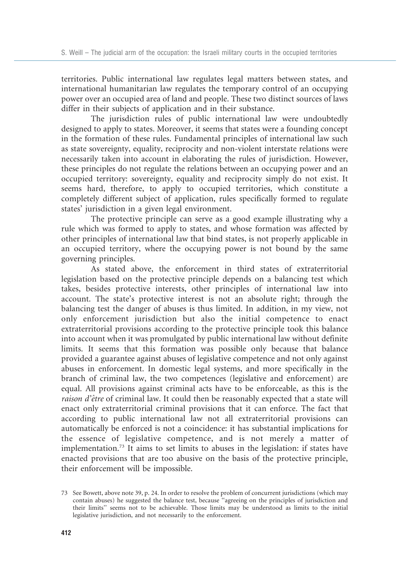territories. Public international law regulates legal matters between states, and international humanitarian law regulates the temporary control of an occupying power over an occupied area of land and people. These two distinct sources of laws differ in their subjects of application and in their substance.

The jurisdiction rules of public international law were undoubtedly designed to apply to states. Moreover, it seems that states were a founding concept in the formation of these rules. Fundamental principles of international law such as state sovereignty, equality, reciprocity and non-violent interstate relations were necessarily taken into account in elaborating the rules of jurisdiction. However, these principles do not regulate the relations between an occupying power and an occupied territory: sovereignty, equality and reciprocity simply do not exist. It seems hard, therefore, to apply to occupied territories, which constitute a completely different subject of application, rules specifically formed to regulate states' jurisdiction in a given legal environment.

The protective principle can serve as a good example illustrating why a rule which was formed to apply to states, and whose formation was affected by other principles of international law that bind states, is not properly applicable in an occupied territory, where the occupying power is not bound by the same governing principles.

As stated above, the enforcement in third states of extraterritorial legislation based on the protective principle depends on a balancing test which takes, besides protective interests, other principles of international law into account. The state's protective interest is not an absolute right; through the balancing test the danger of abuses is thus limited. In addition, in my view, not only enforcement jurisdiction but also the initial competence to enact extraterritorial provisions according to the protective principle took this balance into account when it was promulgated by public international law without definite limits. It seems that this formation was possible only because that balance provided a guarantee against abuses of legislative competence and not only against abuses in enforcement. In domestic legal systems, and more specifically in the branch of criminal law, the two competences (legislative and enforcement) are equal. All provisions against criminal acts have to be enforceable, as this is the raison d'être of criminal law. It could then be reasonably expected that a state will enact only extraterritorial criminal provisions that it can enforce. The fact that according to public international law not all extraterritorial provisions can automatically be enforced is not a coincidence: it has substantial implications for the essence of legislative competence, and is not merely a matter of implementation.73 It aims to set limits to abuses in the legislation: if states have enacted provisions that are too abusive on the basis of the protective principle, their enforcement will be impossible.

<sup>73</sup> See Bowett, above note 39, p. 24. In order to resolve the problem of concurrent jurisdictions (which may contain abuses) he suggested the balance test, because ''agreeing on the principles of jurisdiction and their limits'' seems not to be achievable. Those limits may be understood as limits to the initial legislative jurisdiction, and not necessarily to the enforcement.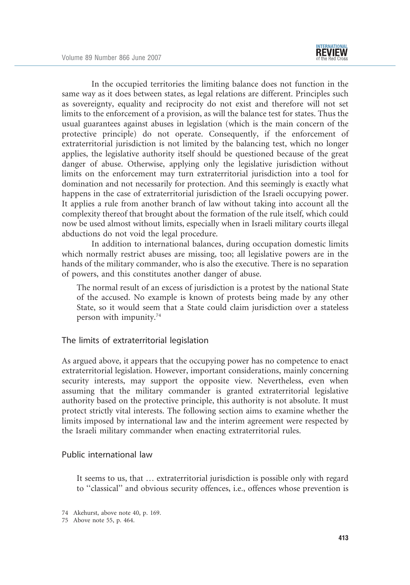

In the occupied territories the limiting balance does not function in the same way as it does between states, as legal relations are different. Principles such as sovereignty, equality and reciprocity do not exist and therefore will not set limits to the enforcement of a provision, as will the balance test for states. Thus the usual guarantees against abuses in legislation (which is the main concern of the protective principle) do not operate. Consequently, if the enforcement of extraterritorial jurisdiction is not limited by the balancing test, which no longer applies, the legislative authority itself should be questioned because of the great danger of abuse. Otherwise, applying only the legislative jurisdiction without limits on the enforcement may turn extraterritorial jurisdiction into a tool for domination and not necessarily for protection. And this seemingly is exactly what happens in the case of extraterritorial jurisdiction of the Israeli occupying power. It applies a rule from another branch of law without taking into account all the complexity thereof that brought about the formation of the rule itself, which could now be used almost without limits, especially when in Israeli military courts illegal abductions do not void the legal procedure.

In addition to international balances, during occupation domestic limits which normally restrict abuses are missing, too; all legislative powers are in the hands of the military commander, who is also the executive. There is no separation of powers, and this constitutes another danger of abuse.

The normal result of an excess of jurisdiction is a protest by the national State of the accused. No example is known of protests being made by any other State, so it would seem that a State could claim jurisdiction over a stateless person with impunity.74

#### The limits of extraterritorial legislation

As argued above, it appears that the occupying power has no competence to enact extraterritorial legislation. However, important considerations, mainly concerning security interests, may support the opposite view. Nevertheless, even when assuming that the military commander is granted extraterritorial legislative authority based on the protective principle, this authority is not absolute. It must protect strictly vital interests. The following section aims to examine whether the limits imposed by international law and the interim agreement were respected by the Israeli military commander when enacting extraterritorial rules.

#### Public international law

It seems to us, that … extraterritorial jurisdiction is possible only with regard to ''classical'' and obvious security offences, i.e., offences whose prevention is

<sup>74</sup> Akehurst, above note 40, p. 169.

<sup>75</sup> Above note 55, p. 464.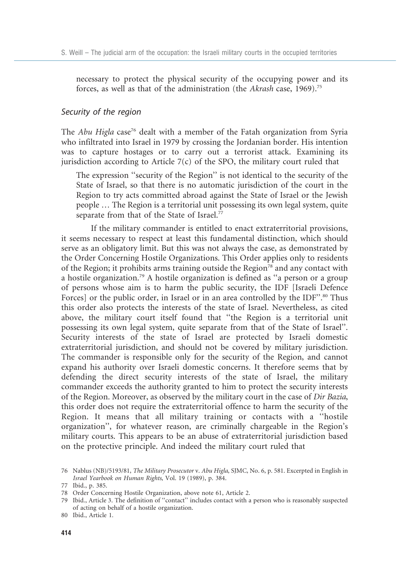necessary to protect the physical security of the occupying power and its forces, as well as that of the administration (the Akrash case, 1969).<sup>75</sup>

#### Security of the region

The Abu Higla case<sup>76</sup> dealt with a member of the Fatah organization from Syria who infiltrated into Israel in 1979 by crossing the Jordanian border. His intention was to capture hostages or to carry out a terrorist attack. Examining its jurisdiction according to Article  $7(c)$  of the SPO, the military court ruled that

The expression ''security of the Region'' is not identical to the security of the State of Israel, so that there is no automatic jurisdiction of the court in the Region to try acts committed abroad against the State of Israel or the Jewish people … The Region is a territorial unit possessing its own legal system, quite separate from that of the State of Israel.<sup>77</sup>

If the military commander is entitled to enact extraterritorial provisions, it seems necessary to respect at least this fundamental distinction, which should serve as an obligatory limit. But this was not always the case, as demonstrated by the Order Concerning Hostile Organizations. This Order applies only to residents of the Region; it prohibits arms training outside the Region<sup>78</sup> and any contact with a hostile organization.<sup>79</sup> A hostile organization is defined as "a person or a group of persons whose aim is to harm the public security, the IDF [Israeli Defence Forces] or the public order, in Israel or in an area controlled by the IDF".<sup>80</sup> Thus this order also protects the interests of the state of Israel. Nevertheless, as cited above, the military court itself found that ''the Region is a territorial unit possessing its own legal system, quite separate from that of the State of Israel''. Security interests of the state of Israel are protected by Israeli domestic extraterritorial jurisdiction, and should not be covered by military jurisdiction. The commander is responsible only for the security of the Region, and cannot expand his authority over Israeli domestic concerns. It therefore seems that by defending the direct security interests of the state of Israel, the military commander exceeds the authority granted to him to protect the security interests of the Region. Moreover, as observed by the military court in the case of Dir Bazia, this order does not require the extraterritorial offence to harm the security of the Region. It means that all military training or contacts with a ''hostile organization'', for whatever reason, are criminally chargeable in the Region's military courts. This appears to be an abuse of extraterritorial jurisdiction based on the protective principle. And indeed the military court ruled that

<sup>76</sup> Nablus (NB)/5193/81, The Military Prosecutor v. Abu Higla, SJMC, No. 6, p. 581. Excerpted in English in Israel Yearbook on Human Rights, Vol. 19 (1989), p. 384.

<sup>77</sup> Ibid., p. 385.

<sup>78</sup> Order Concerning Hostile Organization, above note 61, Article 2.

<sup>79</sup> Ibid., Article 3. The definition of ''contact'' includes contact with a person who is reasonably suspected of acting on behalf of a hostile organization.

<sup>80</sup> Ibid., Article 1.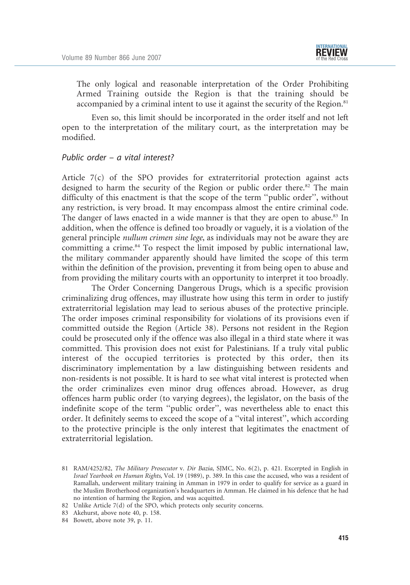

The only logical and reasonable interpretation of the Order Prohibiting Armed Training outside the Region is that the training should be accompanied by a criminal intent to use it against the security of the Region.<sup>81</sup>

Even so, this limit should be incorporated in the order itself and not left open to the interpretation of the military court, as the interpretation may be modified.

#### Public order – a vital interest?

Article 7(c) of the SPO provides for extraterritorial protection against acts designed to harm the security of the Region or public order there.<sup>82</sup> The main difficulty of this enactment is that the scope of the term ''public order'', without any restriction, is very broad. It may encompass almost the entire criminal code. The danger of laws enacted in a wide manner is that they are open to abuse.<sup>83</sup> In addition, when the offence is defined too broadly or vaguely, it is a violation of the general principle nullum crimen sine lege, as individuals may not be aware they are committing a crime.<sup>84</sup> To respect the limit imposed by public international law, the military commander apparently should have limited the scope of this term within the definition of the provision, preventing it from being open to abuse and from providing the military courts with an opportunity to interpret it too broadly.

The Order Concerning Dangerous Drugs, which is a specific provision criminalizing drug offences, may illustrate how using this term in order to justify extraterritorial legislation may lead to serious abuses of the protective principle. The order imposes criminal responsibility for violations of its provisions even if committed outside the Region (Article 38). Persons not resident in the Region could be prosecuted only if the offence was also illegal in a third state where it was committed. This provision does not exist for Palestinians. If a truly vital public interest of the occupied territories is protected by this order, then its discriminatory implementation by a law distinguishing between residents and non-residents is not possible. It is hard to see what vital interest is protected when the order criminalizes even minor drug offences abroad. However, as drug offences harm public order (to varying degrees), the legislator, on the basis of the indefinite scope of the term ''public order'', was nevertheless able to enact this order. It definitely seems to exceed the scope of a ''vital interest'', which according to the protective principle is the only interest that legitimates the enactment of extraterritorial legislation.

- 82 Unlike Article 7(d) of the SPO, which protects only security concerns.
- 83 Akehurst, above note 40, p. 158.
- 84 Bowett, above note 39, p. 11.

<sup>81</sup> RAM/4252/82, The Military Prosecutor v. Dir Bazia, SJMC, No. 6(2), p. 421. Excerpted in English in Israel Yearbook on Human Rights, Vol. 19 (1989), p. 389. In this case the accused, who was a resident of Ramallah, underwent military training in Amman in 1979 in order to qualify for service as a guard in the Muslim Brotherhood organization's headquarters in Amman. He claimed in his defence that he had no intention of harming the Region, and was acquitted.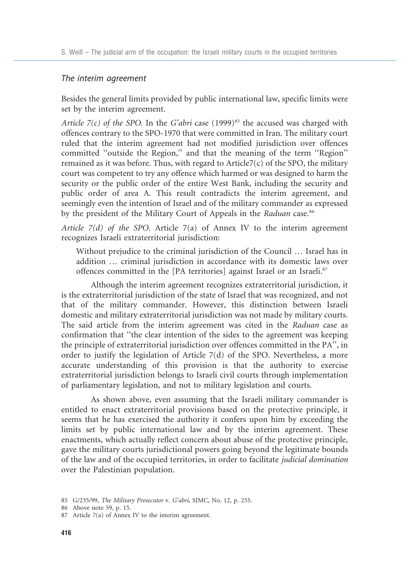#### The interim agreement

Besides the general limits provided by public international law, specific limits were set by the interim agreement.

Article  $7(c)$  of the SPO. In the G'abri case (1999)<sup>85</sup> the accused was charged with offences contrary to the SPO-1970 that were committed in Iran. The military court ruled that the interim agreement had not modified jurisdiction over offences committed ''outside the Region,'' and that the meaning of the term ''Region'' remained as it was before. Thus, with regard to  $Article7(c)$  of the SPO, the military court was competent to try any offence which harmed or was designed to harm the security or the public order of the entire West Bank, including the security and public order of area A. This result contradicts the interim agreement, and seemingly even the intention of Israel and of the military commander as expressed by the president of the Military Court of Appeals in the Raduan case.<sup>86</sup>

Article  $7(d)$  of the SPO. Article  $7(a)$  of Annex IV to the interim agreement recognizes Israeli extraterritorial jurisdiction:

Without prejudice to the criminal jurisdiction of the Council … Israel has in addition … criminal jurisdiction in accordance with its domestic laws over offences committed in the [PA territories] against Israel or an Israeli.<sup>87</sup>

Although the interim agreement recognizes extraterritorial jurisdiction, it is the extraterritorial jurisdiction of the state of Israel that was recognized, and not that of the military commander. However, this distinction between Israeli domestic and military extraterritorial jurisdiction was not made by military courts. The said article from the interim agreement was cited in the Raduan case as confirmation that ''the clear intention of the sides to the agreement was keeping the principle of extraterritorial jurisdiction over offences committed in the PA'', in order to justify the legislation of Article 7(d) of the SPO. Nevertheless, a more accurate understanding of this provision is that the authority to exercise extraterritorial jurisdiction belongs to Israeli civil courts through implementation of parliamentary legislation, and not to military legislation and courts.

As shown above, even assuming that the Israeli military commander is entitled to enact extraterritorial provisions based on the protective principle, it seems that he has exercised the authority it confers upon him by exceeding the limits set by public international law and by the interim agreement. These enactments, which actually reflect concern about abuse of the protective principle, gave the military courts jurisdictional powers going beyond the legitimate bounds of the law and of the occupied territories, in order to facilitate judicial domination over the Palestinian population.

<sup>85</sup> G/235/99, The Military Prosecutor v. G'abri, SJMC, No. 12, p. 255.

<sup>86</sup> Above note 59, p. 15.

<sup>87</sup> Article 7(a) of Annex IV to the interim agreement.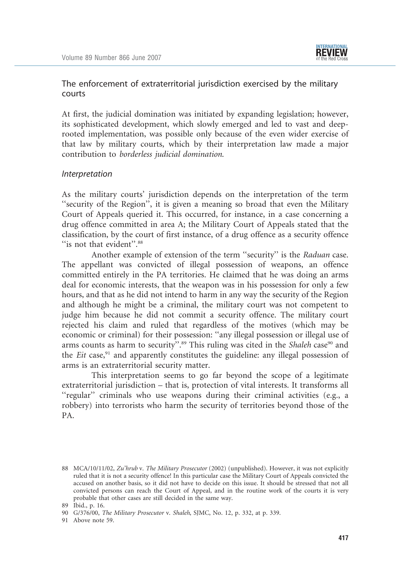

# The enforcement of extraterritorial jurisdiction exercised by the military courts

At first, the judicial domination was initiated by expanding legislation; however, its sophisticated development, which slowly emerged and led to vast and deeprooted implementation, was possible only because of the even wider exercise of that law by military courts, which by their interpretation law made a major contribution to borderless judicial domination.

#### Interpretation

As the military courts' jurisdiction depends on the interpretation of the term "security of the Region", it is given a meaning so broad that even the Military Court of Appeals queried it. This occurred, for instance, in a case concerning a drug offence committed in area A; the Military Court of Appeals stated that the classification, by the court of first instance, of a drug offence as a security offence "is not that evident".<sup>88</sup>

Another example of extension of the term ''security'' is the Raduan case. The appellant was convicted of illegal possession of weapons, an offence committed entirely in the PA territories. He claimed that he was doing an arms deal for economic interests, that the weapon was in his possession for only a few hours, and that as he did not intend to harm in any way the security of the Region and although he might be a criminal, the military court was not competent to judge him because he did not commit a security offence. The military court rejected his claim and ruled that regardless of the motives (which may be economic or criminal) for their possession: ''any illegal possession or illegal use of arms counts as harm to security".<sup>89</sup> This ruling was cited in the Shaleh case<sup>90</sup> and the Eit case, $91$  and apparently constitutes the guideline: any illegal possession of arms is an extraterritorial security matter.

This interpretation seems to go far beyond the scope of a legitimate extraterritorial jurisdiction – that is, protection of vital interests. It transforms all ''regular'' criminals who use weapons during their criminal activities (e.g., a robbery) into terrorists who harm the security of territories beyond those of the PA.

91 Above note 59.

<sup>88</sup> MCA/10/11/02, Zu'hrub v. The Military Prosecutor (2002) (unpublished). However, it was not explicitly ruled that it is not a security offence! In this particular case the Military Court of Appeals convicted the accused on another basis, so it did not have to decide on this issue. It should be stressed that not all convicted persons can reach the Court of Appeal, and in the routine work of the courts it is very probable that other cases are still decided in the same way.

<sup>89</sup> Ibid., p. 16.

<sup>90</sup> G/376/00, The Military Prosecutor v. Shaleh, SJMC, No. 12, p. 332, at p. 339.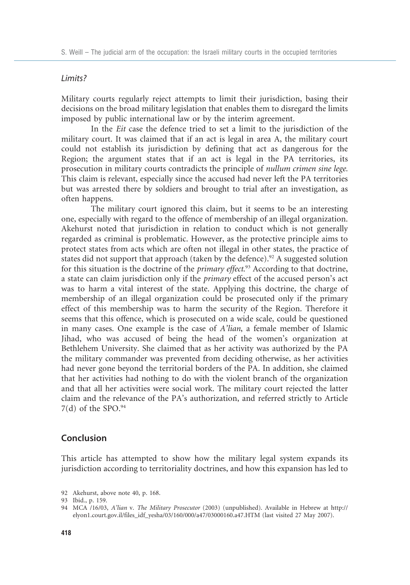#### Limits?

Military courts regularly reject attempts to limit their jurisdiction, basing their decisions on the broad military legislation that enables them to disregard the limits imposed by public international law or by the interim agreement.

In the Eit case the defence tried to set a limit to the jurisdiction of the military court. It was claimed that if an act is legal in area A, the military court could not establish its jurisdiction by defining that act as dangerous for the Region; the argument states that if an act is legal in the PA territories, its prosecution in military courts contradicts the principle of nullum crimen sine lege. This claim is relevant, especially since the accused had never left the PA territories but was arrested there by soldiers and brought to trial after an investigation, as often happens.

The military court ignored this claim, but it seems to be an interesting one, especially with regard to the offence of membership of an illegal organization. Akehurst noted that jurisdiction in relation to conduct which is not generally regarded as criminal is problematic. However, as the protective principle aims to protect states from acts which are often not illegal in other states, the practice of states did not support that approach (taken by the defence).<sup>92</sup> A suggested solution for this situation is the doctrine of the *primary effect.*<sup>93</sup> According to that doctrine, a state can claim jurisdiction only if the primary effect of the accused person's act was to harm a vital interest of the state. Applying this doctrine, the charge of membership of an illegal organization could be prosecuted only if the primary effect of this membership was to harm the security of the Region. Therefore it seems that this offence, which is prosecuted on a wide scale, could be questioned in many cases. One example is the case of A'lian, a female member of Islamic Jihad, who was accused of being the head of the women's organization at Bethlehem University. She claimed that as her activity was authorized by the PA the military commander was prevented from deciding otherwise, as her activities had never gone beyond the territorial borders of the PA. In addition, she claimed that her activities had nothing to do with the violent branch of the organization and that all her activities were social work. The military court rejected the latter claim and the relevance of the PA's authorization, and referred strictly to Article 7(d) of the SPO.94

#### Conclusion

This article has attempted to show how the military legal system expands its jurisdiction according to territoriality doctrines, and how this expansion has led to

<sup>92</sup> Akehurst, above note 40, p. 168.

<sup>93</sup> Ibid., p. 159.

<sup>94</sup> MCA /16/03, A'lian v. The Military Prosecutor (2003) (unpublished). Available in Hebrew at http:// elyon1.court.gov.il/files\_idf\_yesha/03/160/000/a47/03000160.a47.HTM (last visited 27 May 2007).